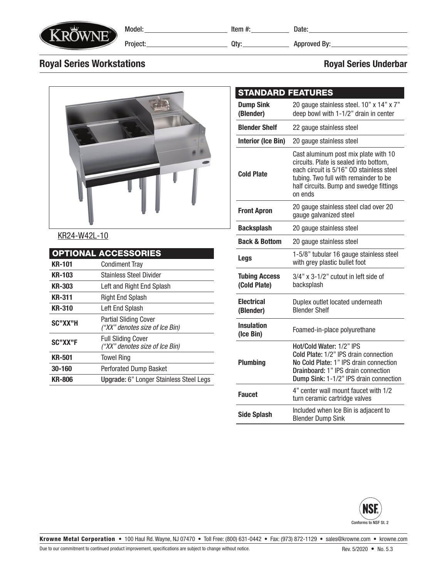

Model: Project:

Item #: Date:

Qty: Approved By:

## Royal Series Workstations **Royal Series Underbar** Royal Series Underbar



## KR24-W42L-10

|               | <b>OPTIONAL ACCESSORIES</b>                                    |  |  |  |  |
|---------------|----------------------------------------------------------------|--|--|--|--|
| <b>KR-101</b> | <b>Condiment Tray</b>                                          |  |  |  |  |
| <b>KR-103</b> | <b>Stainless Steel Divider</b>                                 |  |  |  |  |
| <b>KR-303</b> | Left and Right End Splash                                      |  |  |  |  |
| <b>KR-311</b> | Right End Splash                                               |  |  |  |  |
| <b>KR-310</b> | Left End Splash                                                |  |  |  |  |
| SC"XX"H       | <b>Partial Sliding Cover</b><br>("XX" denotes size of Ice Bin) |  |  |  |  |
| SC"XX"F       | <b>Full Sliding Cover</b><br>("XX" denotes size of Ice Bin)    |  |  |  |  |
| <b>KR-501</b> | <b>Towel Ring</b>                                              |  |  |  |  |
| 30-160        | <b>Perforated Dump Basket</b>                                  |  |  |  |  |
| <b>KR-806</b> | Upgrade: 6" Longer Stainless Steel Legs                        |  |  |  |  |

| <b>STANDARD FEATURES</b>                                                               |                                                                                                                                                                                                                           |  |  |  |  |
|----------------------------------------------------------------------------------------|---------------------------------------------------------------------------------------------------------------------------------------------------------------------------------------------------------------------------|--|--|--|--|
| <b>Dump Sink</b><br>(Blender)                                                          | 20 gauge stainless steel. 10" x 14" x 7"<br>deep bowl with 1-1/2" drain in center                                                                                                                                         |  |  |  |  |
| <b>Blender Shelf</b>                                                                   | 22 gauge stainless steel                                                                                                                                                                                                  |  |  |  |  |
| <b>Interior (Ice Bin)</b>                                                              | 20 gauge stainless steel                                                                                                                                                                                                  |  |  |  |  |
| <b>Cold Plate</b>                                                                      | Cast aluminum post mix plate with 10<br>circuits. Plate is sealed into bottom,<br>each circuit is 5/16" OD stainless steel<br>tubing. Two full with remainder to be<br>half circuits. Bump and swedge fittings<br>on ends |  |  |  |  |
| <b>Front Apron</b>                                                                     | 20 gauge stainless steel clad over 20<br>gauge galvanized steel                                                                                                                                                           |  |  |  |  |
| <b>Backsplash</b>                                                                      | 20 gauge stainless steel                                                                                                                                                                                                  |  |  |  |  |
| <b>Back &amp; Bottom</b>                                                               | 20 gauge stainless steel                                                                                                                                                                                                  |  |  |  |  |
| Legs                                                                                   | 1-5/8" tubular 16 gauge stainless steel<br>with grey plastic bullet foot                                                                                                                                                  |  |  |  |  |
| <b>Tubing Access</b><br>(Cold Plate)                                                   | 3/4" x 3-1/2" cutout in left side of<br>backsplash                                                                                                                                                                        |  |  |  |  |
| <b>Electrical</b><br>(Blender)                                                         | Duplex outlet located underneath<br><b>Blender Shelf</b>                                                                                                                                                                  |  |  |  |  |
| Insulation<br>(Ice Bin)                                                                | Foamed-in-place polyurethane                                                                                                                                                                                              |  |  |  |  |
| <b>Plumbing</b>                                                                        | Hot/Cold Water: 1/2" IPS<br>Cold Plate: 1/2" IPS drain connection<br>No Cold Plate: 1" IPS drain connection<br>Drainboard: 1" IPS drain connection<br>Dump Sink: 1-1/2" IPS drain connection                              |  |  |  |  |
| <b>Faucet</b>                                                                          | 4" center wall mount faucet with 1/2<br>turn ceramic cartridge valves                                                                                                                                                     |  |  |  |  |
| Included when Ice Bin is adjacent to<br><b>Side Splash</b><br><b>Blender Dump Sink</b> |                                                                                                                                                                                                                           |  |  |  |  |



Krowne Metal Corporation • 100 Haul Rd. Wayne, NJ 07470 • Toll Free: (800) 631-0442 • Fax: (973) 872-1129 • sales@krowne.com • krowne.com